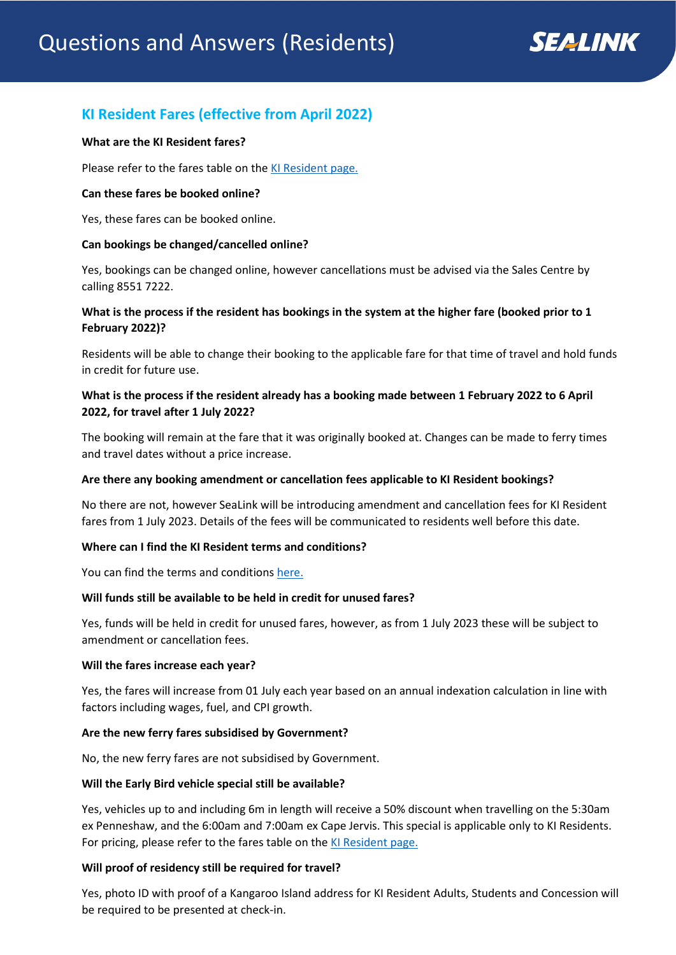# **KI Resident Fares (effective from April 2022)**

### **What are the KI Resident fares?**

Please refer to the fares table on the [KI Resident page.](http://www.sealink.com.au/residents)

## **Can these fares be booked online?**

Yes, these fares can be booked online.

## **Can bookings be changed/cancelled online?**

Yes, bookings can be changed online, however cancellations must be advised via the Sales Centre by calling 8551 7222.

# **What is the process if the resident has bookings in the system at the higher fare (booked prior to 1 February 2022)?**

Residents will be able to change their booking to the applicable fare for that time of travel and hold funds in credit for future use.

# **What is the process if the resident already has a booking made between 1 February 2022 to 6 April 2022, for travel after 1 July 2022?**

The booking will remain at the fare that it was originally booked at. Changes can be made to ferry times and travel dates without a price increase.

### **Are there any booking amendment or cancellation fees applicable to KI Resident bookings?**

No there are not, however SeaLink will be introducing amendment and cancellation fees for KI Resident fares from 1 July 2023. Details of the fees will be communicated to residents well before this date.

# **Where can I find the KI Resident terms and conditions?**

You can find the terms and conditions [here.](https://www.sealink.com.au/residents-conditions)

### **Will funds still be available to be held in credit for unused fares?**

Yes, funds will be held in credit for unused fares, however, as from 1 July 2023 these will be subject to amendment or cancellation fees.

### **Will the fares increase each year?**

Yes, the fares will increase from 01 July each year based on an annual indexation calculation in line with factors including wages, fuel, and CPI growth.

# **Are the new ferry fares subsidised by Government?**

No, the new ferry fares are not subsidised by Government.

### **Will the Early Bird vehicle special still be available?**

Yes, vehicles up to and including 6m in length will receive a 50% discount when travelling on the 5:30am ex Penneshaw, and the 6:00am and 7:00am ex Cape Jervis. This special is applicable only to KI Residents. For pricing, please refer to the fares table on the [KI Resident](http://www.sealink.com.au/residents) page.

# **Will proof of residency still be required for travel?**

Yes, photo ID with proof of a Kangaroo Island address for KI Resident Adults, Students and Concession will be required to be presented at check-in.